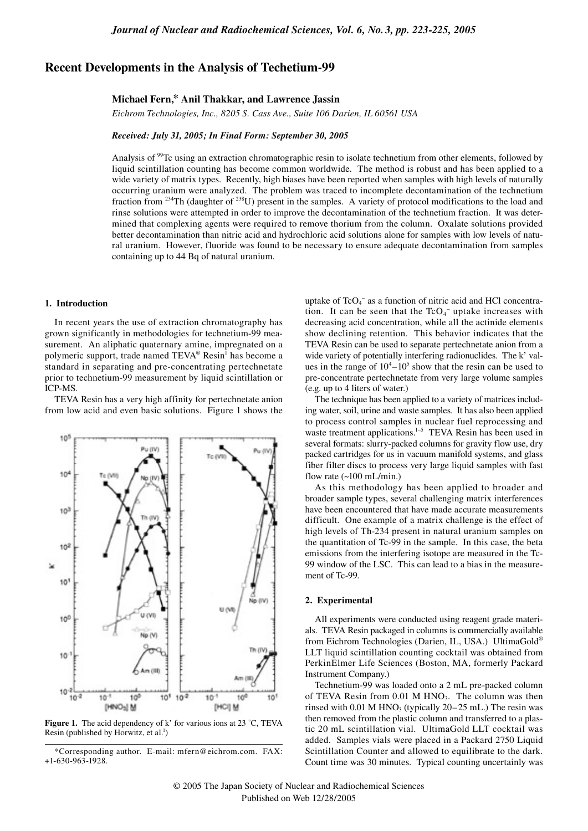# **Recent Developments in the Analysis of Techetium-99**

## **Michael Fern,\* Anil Thakkar, and Lawrence Jassin**

*Eichrom Technologies, Inc., 8205 S. Cass Ave., Suite 106 Darien, IL 60561 USA*

## *Received: July 31, 2005; In Final Form: September 30, 2005*

Analysis of <sup>99</sup>Tc using an extraction chromatographic resin to isolate technetium from other elements, followed by liquid scintillation counting has become common worldwide. The method is robust and has been applied to a wide variety of matrix types. Recently, high biases have been reported when samples with high levels of naturally occurring uranium were analyzed. The problem was traced to incomplete decontamination of the technetium fraction from 234Th (daughter of 238U) present in the samples. A variety of protocol modifications to the load and rinse solutions were attempted in order to improve the decontamination of the technetium fraction. It was determined that complexing agents were required to remove thorium from the column. Oxalate solutions provided better decontamination than nitric acid and hydrochloric acid solutions alone for samples with low levels of natural uranium. However, fluoride was found to be necessary to ensure adequate decontamination from samples containing up to 44 Bq of natural uranium.

#### **1. Introduction**

In recent years the use of extraction chromatography has grown significantly in methodologies for technetium-99 measurement. An aliphatic quaternary amine, impregnated on a polymeric support, trade named TEVA® Resin<sup>1</sup> has become a standard in separating and pre-concentrating pertechnetate prior to technetium-99 measurement by liquid scintillation or ICP-MS.

TEVA Resin has a very high affinity for pertechnetate anion from low acid and even basic solutions. Figure 1 shows the



**Figure 1.** The acid dependency of k' for various ions at 23 °C, TEVA Resin (published by Horwitz, et al.<sup>1</sup>)

uptake of  $TcO<sub>4</sub><sup>-</sup>$  as a function of nitric acid and HCl concentration. It can be seen that the  $TcO<sub>4</sub><sup>-</sup>$  uptake increases with decreasing acid concentration, while all the actinide elements show declining retention. This behavior indicates that the TEVA Resin can be used to separate pertechnetate anion from a wide variety of potentially interfering radionuclides. The k' values in the range of  $10^4 - 10^5$  show that the resin can be used to pre-concentrate pertechnetate from very large volume samples (e.g. up to 4 liters of water.)

The technique has been applied to a variety of matrices including water, soil, urine and waste samples. It has also been applied to process control samples in nuclear fuel reprocessing and waste treatment applications.<sup>1-5</sup> TEVA Resin has been used in several formats: slurry-packed columns for gravity flow use, dry packed cartridges for us in vacuum manifold systems, and glass fiber filter discs to process very large liquid samples with fast flow rate  $(-100$  mL/min.)

As this methodology has been applied to broader and broader sample types, several challenging matrix interferences have been encountered that have made accurate measurements difficult. One example of a matrix challenge is the effect of high levels of Th-234 present in natural uranium samples on the quantitation of Tc-99 in the sample. In this case, the beta emissions from the interfering isotope are measured in the Tc-99 window of the LSC. This can lead to a bias in the measurement of Tc-99.

#### **2. Experimental**

All experiments were conducted using reagent grade materials. TEVA Resin packaged in columns is commercially available from Eichrom Technologies (Darien, IL, USA.) UltimaGold® LLT liquid scintillation counting cocktail was obtained from PerkinElmer Life Sciences (Boston, MA, formerly Packard Instrument Company.)

Technetium-99 was loaded onto a 2 mL pre-packed column of TEVA Resin from 0.01 M HNO<sub>3</sub>. The column was then rinsed with  $0.01$  M HNO<sub>3</sub> (typically  $20-25$  mL.) The resin was then removed from the plastic column and transferred to a plastic 20 mL scintillation vial. UltimaGold LLT cocktail was added. Samples vials were placed in a Packard 2750 Liquid Scintillation Counter and allowed to equilibrate to the dark. Count time was 30 minutes. Typical counting uncertainly was

<sup>\*</sup>Corresponding author. E-mail: mfern@eichrom.com. FAX: +1-630-963-1928.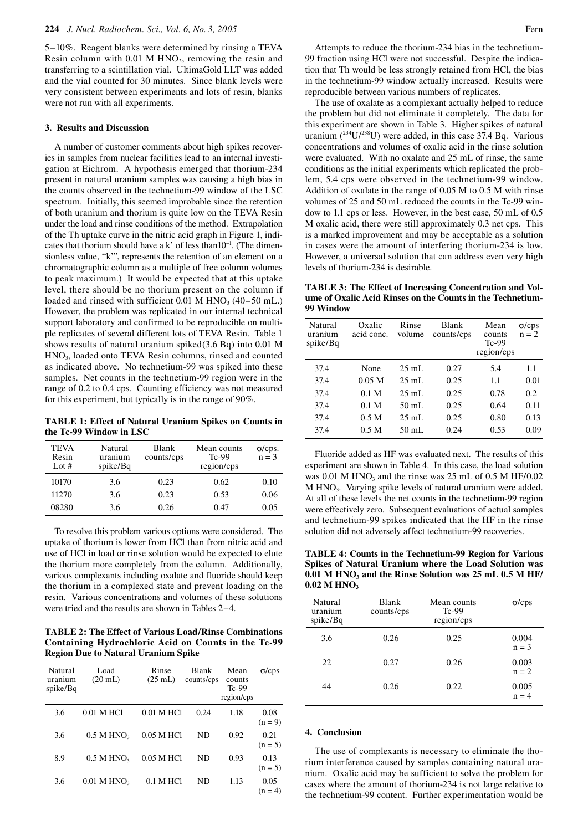5–10%. Reagent blanks were determined by rinsing a TEVA Resin column with  $0.01$  M  $HNO<sub>3</sub>$ , removing the resin and transferring to a scintillation vial. UltimaGold LLT was added and the vial counted for 30 minutes. Since blank levels were very consistent between experiments and lots of resin, blanks were not run with all experiments.

## **3. Results and Discussion**

A number of customer comments about high spikes recoveries in samples from nuclear facilities lead to an internal investigation at Eichrom. A hypothesis emerged that thorium-234 present in natural uranium samples was causing a high bias in the counts observed in the technetium-99 window of the LSC spectrum. Initially, this seemed improbable since the retention of both uranium and thorium is quite low on the TEVA Resin under the load and rinse conditions of the method. Extrapolation of the Th uptake curve in the nitric acid graph in Figure 1, indicates that thorium should have a k' of less than10<sup>-1</sup>. (The dimensionless value, "k'", represents the retention of an element on a chromatographic column as a multiple of free column volumes to peak maximum.) It would be expected that at this uptake level, there should be no thorium present on the column if loaded and rinsed with sufficient  $0.01$  M HNO<sub>3</sub> (40–50 mL.) However, the problem was replicated in our internal technical support laboratory and confirmed to be reproducible on multiple replicates of several different lots of TEVA Resin. Table 1 shows results of natural uranium spiked(3.6 Bq) into 0.01 M HNO3, loaded onto TEVA Resin columns, rinsed and counted as indicated above. No technetium-99 was spiked into these samples. Net counts in the technetium-99 region were in the range of 0.2 to 0.4 cps. Counting efficiency was not measured for this experiment, but typically is in the range of 90%.

**TABLE 1: Effect of Natural Uranium Spikes on Counts in the Tc-99 Window in LSC**

| <b>TEVA</b><br>Resin<br>Lot $#$ | Natural<br>uranium<br>spike/Bq | Blank<br>counts/cps | Mean counts<br>$Tc-99$<br>region/cps | $o$ /cps.<br>$n = 3$ |
|---------------------------------|--------------------------------|---------------------|--------------------------------------|----------------------|
| 10170                           | 3.6                            | 0.23                | 0.62                                 | 0.10                 |
| 11270                           | 3.6                            | 0.23                | 0.53                                 | 0.06                 |
| 08280                           | 3.6                            | 0.26                | 0.47                                 | 0.05                 |

To resolve this problem various options were considered. The uptake of thorium is lower from HCl than from nitric acid and use of HCl in load or rinse solution would be expected to elute the thorium more completely from the column. Additionally, various complexants including oxalate and fluoride should keep the thorium in a complexed state and prevent loading on the resin. Various concentrations and volumes of these solutions were tried and the results are shown in Tables 2–4.

**TABLE 2: The Effect of Various Load/Rinse Combinations Containing Hydrochloric Acid on Counts in the Tc-99 Region Due to Natural Uranium Spike**

| Natural<br>uranium<br>spike/Bq | Load<br>$(20 \text{ mL})$ | Rinse<br>$(25 \text{ mL})$ | <b>Blank</b><br>counts/cps | Mean<br>counts<br>$Tc-99$<br>region/cps | $\sigma$ /cps     |
|--------------------------------|---------------------------|----------------------------|----------------------------|-----------------------------------------|-------------------|
| 3.6                            | $0.01$ M HCl              | $0.01$ M HCl               | 0.24                       | 1.18                                    | 0.08<br>$(n = 9)$ |
| 3.6                            | $0.5$ M HNO <sub>2</sub>  | 0.05 M HCl                 | <b>ND</b>                  | 0.92                                    | 0.21<br>$(n = 5)$ |
| 8.9                            | $0.5$ M HNO <sub>2</sub>  | 0.05 M HCl                 | <b>ND</b>                  | 0.93                                    | 0.13<br>$(n = 5)$ |
| 3.6                            | $0.01$ M HNO <sub>3</sub> | 0.1 M HCl                  | ND                         | 1.13                                    | 0.05<br>$(n = 4)$ |

Attempts to reduce the thorium-234 bias in the technetium-99 fraction using HCl were not successful. Despite the indication that Th would be less strongly retained from HCl, the bias in the technetium-99 window actually increased. Results were reproducible between various numbers of replicates.

The use of oxalate as a complexant actually helped to reduce the problem but did not eliminate it completely. The data for this experiment are shown in Table 3. Higher spikes of natural uranium  $(^{234}U/^{238}U)$  were added, in this case 37.4 Bq. Various concentrations and volumes of oxalic acid in the rinse solution were evaluated. With no oxalate and 25 mL of rinse, the same conditions as the initial experiments which replicated the problem, 5.4 cps were observed in the technetium-99 window. Addition of oxalate in the range of 0.05 M to 0.5 M with rinse volumes of 25 and 50 mL reduced the counts in the Tc-99 window to 1.1 cps or less. However, in the best case, 50 mL of 0.5 M oxalic acid, there were still approximately 0.3 net cps. This is a marked improvement and may be acceptable as a solution in cases were the amount of interfering thorium-234 is low. However, a universal solution that can address even very high levels of thorium-234 is desirable.

**TABLE 3: The Effect of Increasing Concentration and Volume of Oxalic Acid Rinses on the Counts in the Technetium-99 Window**

| Natural<br>uranium<br>spike/Bq | Oxalic<br>acid conc. | Rinse<br>volume | <b>Blank</b><br>counts/cps | Mean<br>counts<br>$Tc-99$<br>region/cps | $\sigma$ /cps<br>$n = 2$ |
|--------------------------------|----------------------|-----------------|----------------------------|-----------------------------------------|--------------------------|
| 37.4                           | None                 | $25 \text{ mL}$ | 0.27                       | 5.4                                     | 1.1                      |
| 37.4                           | 0.05 M               | $25 \text{ mL}$ | 0.25                       | 1.1                                     | 0.01                     |
| 37.4                           | 0.1 <sub>M</sub>     | $25 \text{ mL}$ | 0.25                       | 0.78                                    | 0.2                      |
| 37.4                           | 0.1 <sub>M</sub>     | $50 \text{ mL}$ | 0.25                       | 0.64                                    | 0.11                     |
| 37.4                           | 0.5 M                | $25 \text{ mL}$ | 0.25                       | 0.80                                    | 0.13                     |
| 37.4                           | 0.5 <sub>M</sub>     | $50 \text{ mL}$ | 0.24                       | 0.53                                    | 0.09                     |

Fluoride added as HF was evaluated next. The results of this experiment are shown in Table 4. In this case, the load solution was 0.01 M HNO<sub>3</sub> and the rinse was  $25$  mL of 0.5 M HF/0.02 M HNO3. Varying spike levels of natural uranium were added. At all of these levels the net counts in the technetium-99 region were effectively zero. Subsequent evaluations of actual samples and technetium-99 spikes indicated that the HF in the rinse solution did not adversely affect technetium-99 recoveries.

**TABLE 4: Counts in the Technetium-99 Region for Various Spikes of Natural Uranium where the Load Solution was**  0.01 M HNO<sub>3</sub> and the Rinse Solution was 25 mL 0.5 M HF/ **0.02 M HNO3**

| Natural<br>uranium<br>spike/Bq | Blank<br>counts/cps | Mean counts<br>$Tc-99$<br>region/cps | $\sigma$ /cps    |
|--------------------------------|---------------------|--------------------------------------|------------------|
| 3.6                            | 0.26                | 0.25                                 | 0.004<br>$n = 3$ |
| 22                             | 0.27                | 0.26                                 | 0.003<br>$n = 2$ |
| 44                             | 0.26                | 0.22                                 | 0.005<br>$n = 4$ |

## **4. Conclusion**

The use of complexants is necessary to eliminate the thorium interference caused by samples containing natural uranium. Oxalic acid may be sufficient to solve the problem for cases where the amount of thorium-234 is not large relative to the technetium-99 content. Further experimentation would be